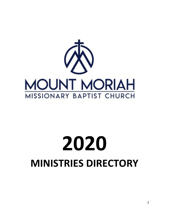

# **20 MINISTRIES DIRECTORY**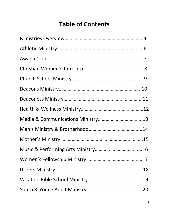# **Table of Contents**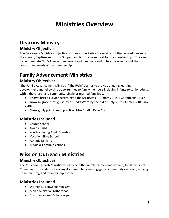# **Ministries Overview**

# **Deacons Ministry**

# **Ministry Objectives**

The Deaconess Ministry's objective is to assist the Pastor in carrying out the two ordinances of the church, Baptism and Lord's Supper, and to provide support for the membership. The aim is to demonstrate God's love in humbleness and meekness and to be concerned about the comfort and needs of the membership.

# **Family Advancement Ministries**

# **Ministry Objectives**

The Family Advancement Ministry, **"The FAM"** desires to provide ongoing learning, development and fellowship opportunities to family members including infants to senior adults, within the church and community, single or married families to:

- **Know** Christ as Savior according to the Scriptures (II Timothy 3:15, I Corinthians 15:3-4)
- **Grow** in grace through study of God's Word by the aid of Holy Spirit (II Peter 3:18, Luke 2:40)
- **Show** godly principles in practice (Titus 2:6-8, I Peter 2:9)

# **Ministries Included**

- Church School
- Awana Clubs
- Youth & Young Adult Ministry
- Vacation Bible School
- Athletic Ministry
- Media & Communications

# **Mission Outreach Ministries**

# **Ministry Objectives**

The Mission/Outreach Ministry exists to help the members, men and women, fulfill the Great Commission. In addition to evangelism, members are engaged in community outreach, nursing home ministry, and membership contact.

# **Ministries Included**

- Women's Fellowship Ministry
- Men's Ministry/Brotherhood
- Christian Women's Job Corps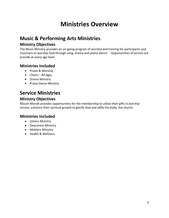# **Ministries Overview**

# **Music & Performing Arts Ministries**

# **Ministry Objectives**

The Music Ministry provides an on-going program of worship and training for participants and musicians to worship God through song, drama and praise dance. Opportunities of service are provide at every age level.

# **Ministries Included**

- Praise & Worship
- Choirs All Ages
- Drama Ministry
- Praise Dance Ministry

# **Service Ministries**

# **Ministry Objectives**

Mount Moriah provides opportunities for the membership to utilize their gifts in worship service, enhance their spiritual growth to glorify God and edify the body, the church.

#### **Ministries Included**

- Ushers Ministry
- Deaconess Ministry
- Mothers Ministry
- Health & Wellness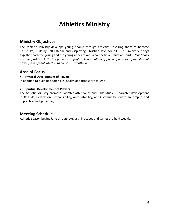# **Athletics Ministry**

# **Ministry Objectives**

The Athletic Ministry develops young people through athletics, inspiring them to become Christ-like, building self-esteem and displaying Christian love for all. This ministry brings together both the young and the young at heart with a competitive Christian spirit. *"For bodily exercise profiteth little: but godliness is profitable unto all things, having promise of the life that now is, and of that which is to come." I Timothy 4:8.*

#### **Area of Focus**

#### • **Physical Development of Players**

In addition to building sport skills, health and fitness are taught.

#### • **Spiritual Development of Players**

The Athletic Ministry promotes worship attendance and Bible Study. Character development in Attitude, Dedication, Responsibility, Accountability, and Community Service are emphasized in practice and game play.

#### **Meeting Schedule**

Athletic Season begins June through August. Practices and games are held weekly.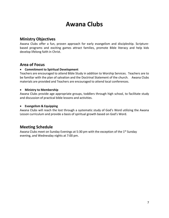# **Awana Clubs**

### **Ministry Objectives**

Awana Clubs offer a fun, proven approach for early evangelism and discipleship. Scripturebased programs and exciting games attract families, promote Bible literacy and help kids develop lifelong faith in Christ.

#### **Area of Focus**

#### • **Commitment to Spiritual Development**

Teachers are encouraged to attend Bible Study in addition to Worship Services. Teachers are to be familiar with the plan of salvation and the Doctrinal Statement of the church. Awana Clubs materials are provided and Teachers are encouraged to attend local conferences.

#### • **Ministry to Membership**

Awana Clubs provide age appropriate groups, toddlers through high school, to facilitate study and discussion of practical bible lessons and activities.

#### • **Evangelism & Equipping**

Awana Clubs will reach the lost through a systematic study of God's Word utilizing the Awana Lesson curriculum and provide a basis of spiritual growth based on God's Word.

# **Meeting Schedule**

Awana Clubs meet on Sunday Evenings at 5:30 pm with the exception of the 1<sup>st</sup> Sunday evening, and Wednesday nights at 7:00 pm.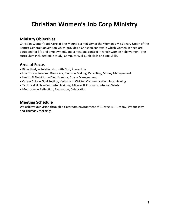# **Christian Women's Job Corp Ministry**

### **Ministry Objectives**

Christian Women's Job Corp at The Mount is a ministry of the Woman's Missionary Union of the Baptist General Convention which provides a Christian context in which women in need are equipped for life and employment, and a missions context in which women help women. The curriculum included Bible Study, Computer Skills, Job Skills and Life Skills.

# **Area of Focus**

- Bible Study Relationship with God, Prayer Life
- Life Skills Personal Discovery, Decision Making, Parenting, Money Management
- Health & Nutrition Diet, Exercise, Stress Management
- Career Skills Goal Setting, Verbal and Written Communication, Interviewing
- Technical Skills Computer Training, Microsoft Products, Internet Safety
- Mentoring Reflection, Evaluation, Celebration

### **Meeting Schedule**

We achieve our vision through a classroom environment of 10 weeks - Tuesday, Wednesday, and Thursday mornings.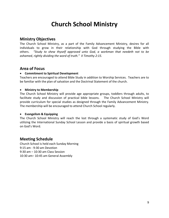# **Church School Ministry**

### **Ministry Objectives**

The Church School Ministry, as a part of the Family Advancement Ministry, desires for all individuals to grow in their relationship with God through studying the Bible with others. *"Study to shew thyself approved unto God, a workman that needeth not to be ashamed, rightly dividing the word of truth." II Timothy 2:15.*

#### **Area of Focus**

#### • **Commitment to Spiritual Development**

Teachers are encouraged to attend Bible Study in addition to Worship Services. Teachers are to be familiar with the plan of salvation and the Doctrinal Statement of the church.

#### • **Ministry to Membership**

The Church School Ministry will provide age appropriate groups, toddlers through adults, to facilitate study and discussion of practical bible lessons. The Church School Ministry will provide curriculum for special studies as designed through the Family Advancement Ministry. The membership will be encouraged to attend Church School regularly.

#### • **Evangelism & Equipping**

The Church School Ministry will reach the lost through a systematic study of God's Word utilizing the International Sunday School Lesson and provide a basis of spiritual growth based on God's Word.

# **Meeting Schedule**

Church School is held each Sunday Morning 9:15 am - 9:30 am Devotion 9:30 am – 10:30 am Class Session 10:30 am– 10:45 am General Assembly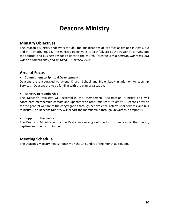# **Deacons Ministry**

### **Ministry Objectives**

The Deacon's Ministry endeavors to fulfill the qualifications of its office as defined in Acts 6:3-8 and in I Timothy 3:8-13. The ministry objective is to faithfully assist the Pastor in carrying out the spiritual and business responsibilities to the church. *"Blessed is that servant, whom his lord when he cometh shall find so doing." Matthew 24:46*

#### **Area of Focus**

#### • **Commitment to Spiritual Development**

Deacons are encouraged to attend Church School and Bible Study in addition to Worship Services. Deacons are to be familiar with the plan of salvation.

#### • **Ministry to Membership**

The Deacon's Ministry will accomplish the Membership Reclamation Ministry and will coordinate membership contact and updates with other ministries to assist.Deacons provide for the general welfare of the congregation through benevolence, referrals for services, and bus ministry. The Deacons Ministry will exhort the membership through Stewardship emphasis.

#### • **Support to the Pastor**

The Deacon's Ministry assists the Pastor in carrying out the two ordinances of the church, baptism and the Lord's Supper.

# **Meeting Schedule**

The Deacon's Ministry meets monthly on the  $1<sup>st</sup>$  Sunday of the month at 5:00pm.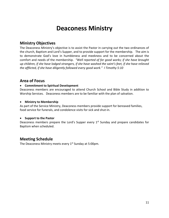# **Deaconess Ministry**

# **Ministry Objectives**

The Deaconess Ministry's objective is to assist the Pastor in carrying out the two ordinances of the church, Baptism and Lord's Supper, and to provide support for the membership. The aim is to demonstrate God's love in humbleness and meekness and to be concerned about the comfort and needs of the membership. *"Well reported of for good works; if she have brought up children, if she have lodged strangers, if she have washed the saint's feet, if she have relieved the afflicted, if she have diligently followed every good work." I Timothy 5:10*

### **Area of Focus**

#### • **Commitment to Spiritual Development**

Deaconess members are encouraged to attend Church School and Bible Study in addition to Worship Services. Deaconess members are to be familiar with the plan of salvation.

#### • **Ministry to Membership**

As part of the Service Ministry, Deaconess members provide support for bereaved families, food service for funerals, and condolence visits for sick and shut-in.

#### • **Support to the Pastor**

Deaconess members prepare the Lord's Supper every  $1<sup>st</sup>$  Sunday and prepare candidates for Baptism when scheduled.

# **Meeting Schedule**

The Deaconess Ministry meets every 1<sup>st</sup> Sunday at 5:00pm.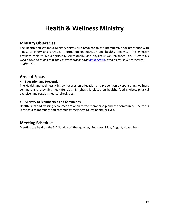# **Health & Wellness Ministry**

### **Ministry Objectives**

The Health and Wellness Ministry serves as a resource to the membership for assistance with illness or injury and provides information on nutrition and healthy lifestyle. This ministry provides tools to live a spiritually, emotionally, and physically well-balanced life. *"Beloved, I wish above all things that thou mayest prosper and [be in health](http://www.bibleontheweb.com/bible/KJV/3%20John), even as thy soul prospereth." 3 John 1:2.* 

### **Area of Focus**

#### • **Education and Prevention**

The Health and Wellness Ministry focuses on education and prevention by sponsoring wellness seminars and providing healthful tips. Emphasis is placed on healthy food choices, physical exercise, and regular medical check-ups.

#### • **Ministry to Membership and Community**

Health Fairs and training resources are open to the membership and the community. The focus is for church members and community members to live healthier lives.

# **Meeting Schedule**

Meeting are held on the 3<sup>rd</sup> Sunday of the quarter, February, May, August, November.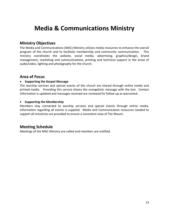# **Media & Communications Ministry**

### **Ministry Objectives**

The Media and Communications (MAC) Ministry utilizes media resources to enhance the overall program of the church and to facilitate membership and community communication. This ministry coordinates the website, social media, advertising, graphics/design, brand management, marketing and communications, printing and technical support in the areas of audio/video, lighting and photography for the church.

### **Area of Focus**

#### • **Supporting the Gospel Message**

The worship services and special events of the church are shared through online media and printed media. Providing this service shares the evangelistic message with the lost. Contact information is updated and messages received are reviewed for follow up as warranted.

#### • **Supporting the Membership**

Members stay connected to worship services and special events through online media. Information regarding all events is supplied. Media and Communication resources needed to support all ministries are provided to ensure a consistent view of The Mount.

# **Meeting Schedule**

Meetings of the MAC Ministry are called and members are notified.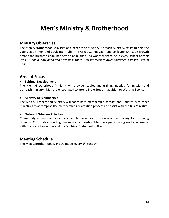# **Men's Ministry & Brotherhood**

### **Ministry Objectives**

The Men's/Brotherhood Ministry, as a part of the Mission/Outreach Ministry, exists to help the young adult men and adult men fulfill the Great Commission and to foster Christian growth among the brethren enabling them to be all that God wants them to be in every aspect of their lives. *"Behold, how good and how pleasant it is for brethren to dwell together in unity!"* Psalm 133:1

### **Area of Focus**

#### • **Spiritual Development**

The Men's/Brotherhood Ministry will provide studies and training needed for mission and outreach ministry. Men are encouraged to attend Bible Study in addition to Worship Services.

#### • **Ministry to Membership**

The Men's/Brotherhood Ministry will coordinate membership contact and updates with other ministries to accomplish the membership reclamation process and assist with the Bus Ministry.

#### • **Outreach/Mission Activities**

Community Service events will be scheduled as a means for outreach and evangelism, winning others to Christ, also including nursing home ministry. Members participating are to be familiar with the plan of salvation and the Doctrinal Statement of the church.

# **Meeting Schedule**

The Men's/Brotherhood Ministry meets every 5<sup>th</sup> Sunday.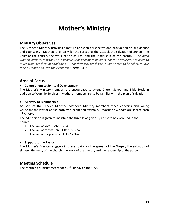# **Mother's Ministry**

### **Ministry Objectives**

The Mother's Ministry provides a mature Christian perspective and provides spiritual guidance and counseling. Mothers pray daily for the spread of the Gospel, the salvation of sinners, the unity of the church, the work of the church, and the leadership of the pastor. *"The aged women likewise, that they be in behaviour as becometh holiness, not false accusers, not given to much wine, teachers of good things; That they may teach the young women to be sober, to love their husbands, to love their children," Titus 2:3-4*

#### **Area of Focus**

#### • **Commitment to Spiritual Development**

The Mother's Ministry members are encouraged to attend Church School and Bible Study in addition to Worship Services. Mothers members are to be familiar with the plan of salvation.

#### • **Ministry to Membership**

As part of the Service Ministry, Mother's Ministry members teach converts and young Christians the way of Christ, both by precept and example. Words of Wisdom are shared each 5<sup>th</sup> Sunday.

The admonition is given to maintain the three laws given by Christ to be exercised in the Church.

- 1. The law of love John 13:34
- 2. The law of confession Matt 5:23-24
- 3. The law of forgiveness Luke 17:3-4

#### • **Support to the Pastor**

The Mother's Ministry engages in prayer daily for the spread of the Gospel, the salvation of sinners, the unity of the church, the work of the church, and the leadership of the pastor.

#### **Meeting Schedule**

The Mother's Ministry meets each 2<sup>nd</sup> Sunday at 10:30 AM.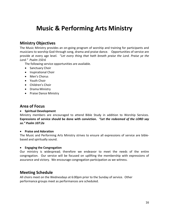# **Music & Performing Arts Ministry**

### **Ministry Objectives**

The Music Ministry provides an on-going program of worship and training for participants and musicians to worship God through song, drama and praise dance. Opportunities of service are provide at every age level. "*Let every thing that hath breath praise the Lord. Praise ye the Lord." Psalm 150:6*

The following service opportunities are available.

- Sanctuary Choir
- Inspirational Choir
- Men's Chorus
- Youth Choir
- Children's Choir
- Drama Ministry
- Praise Dance Ministry

### **Area of Focus**

#### • **Spiritual Development**

Ministry members are encouraged to attend Bible Study in addition to Worship Services. **Expressions of service should be done with conviction.** *"Let the redeemed of the LORD say so." Psalm 107:2a*

#### • **Praise and Adoration**

The Music and Performing Arts Ministry strives to ensure all expressions of service are biblebased and spiritually sound.

#### • **Engaging the Congregation**

Our ministry is widespread; therefore we endeavor to meet the needs of the entire congregation. Our service will be focused on uplifting the membership with expressions of assurance and victory. We encourage congregation participation as we witness.

#### **Meeting Schedule**

All choirs meet on the Wednesdays at 6:00pm prior to the Sunday of service. Other performance groups meet as performances are scheduled.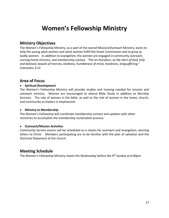# **Women's Fellowship Ministry**

### **Ministry Objectives**

The Women's Fellowship Ministry, as a part of the overall Mission/Outreach Ministry, exists to help the young adult women and adult women fulfill the Great Commission and to grow as Godly women. In addition to evangelism, the women are engaged in community outreach, nursing home ministry, and membership contact. *"Put on therefore, as the elect of God, holy and beloved, bowels of mercies, kindness, humbleness of mind, meekness, longsuffering;" Colossians 3:12.*

### **Area of Focus**

#### • **Spiritual Development**

The Women's Fellowship Ministry will provide studies and training needed for mission and outreach ministry. Women are encouraged to attend Bible Study in addition to Worship Services. The role of women in the bible, as well as the role of women in the home, church, and community as leaders is emphasized.

#### • **Ministry to Membership**

The Women's Fellowship will coordinate membership contact and updates with other ministries to accomplish the membership reclamation process.

#### • **Outreach/Mission Activities**

Community Service events will be scheduled as a means for outreach and evangelism, winning others to Christ. Members participating are to be familiar with the plan of salvation and the Doctrinal Statement of the church.

# **Meeting Schedule**

The Women's Fellowship Ministry meets the Wednesday before the 4<sup>th</sup> Sunday at 6:00pm.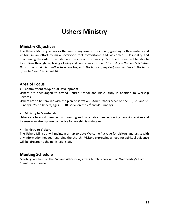# **Ushers Ministry**

# **Ministry Objectives**

The Ushers Ministry serves as the welcoming arm of the church, greeting both members and visitors in an effort to make everyone feel comfortable and welcomed. Hospitality and maintaining the order of worship are the aim of this ministry. Spirit-led ushers will be able to touch lives through displaying a loving and courteous attitude. *"For a day in thy courts is better than a thousand. I had rather be a doorkeeper in the house of my God, than to dwell in the tents of wickedness." Psalm 84:10.*

#### **Area of Focus**

#### • **Commitment to Spiritual Development**

Ushers are encouraged to attend Church School and Bible Study in addition to Worship Services.

Ushers are to be familiar with the plan of salvation. Adult Ushers serve on the  $1^{st}$ ,  $3^{rd}$ , and  $5^{th}$ Sundays. Youth Ushers, ages  $5 - 18$ , serve on the 2<sup>nd</sup> and 4<sup>th</sup> Sundays.

#### • **Ministry to Membership**

Ushers are to assist members with seating and materials as needed during worship services and to ensure an atmosphere conducive for worship is maintained.

#### • **Ministry to Visitors**

The Ushers Ministry will maintain an up to date Welcome Package for visitors and assist with any information needed regarding the church. Visitors expressing a need for spiritual guidance will be directed to the ministerial staff.

# **Meeting Schedule**

Meetings are held on the 2nd and 4th Sunday after Church School and on Wednesday's from 6pm-7pm as needed.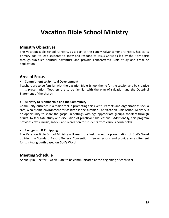# **Vacation Bible School Ministry**

### **Ministry Objectives**

The Vacation Bible School Ministry, as a part of the Family Advancement Ministry, has as its primary goal to lead students to know and respond to Jesus Christ as led by the Holy Spirit through fun-filled spiritual adventure and provide concentrated Bible study and areal-life application.

### **Area of Focus**

#### • **Commitment to Spiritual Development**

Teachers are to be familiar with the Vacation Bible School theme for the session and be creative in its presentation. Teachers are to be familiar with the plan of salvation and the Doctrinal Statement of the church.

#### • **Ministry to Membership and the Community**

Community outreach is a major tool in promoting this event. Parents and organizations seek a safe, wholesome environment for children in the summer. The Vacation Bible School Ministry is an opportunity to share the gospel in settings with age appropriate groups, toddlers through adults, to facilitate study and discussion of practical bible lessons. Additionally, this program provides crafts, music, snacks, and recreation for students from various households.

#### • **Evangelism & Equipping**

The Vacation Bible School Ministry will reach the lost through a presentation of God's Word utilizing the Standard Baptist General Convention Lifeway lessons and provide an excitement for spiritual growth based on God's Word.

#### **Meeting Schedule**

Annually in June for 1 week. Date to be communicated at the beginning of each year.